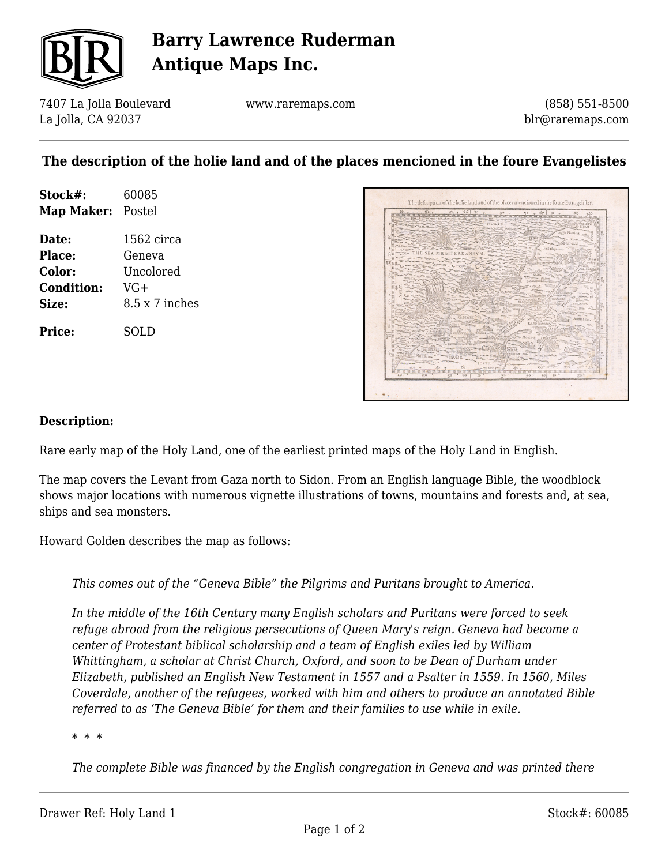

# **Barry Lawrence Ruderman Antique Maps Inc.**

7407 La Jolla Boulevard La Jolla, CA 92037

www.raremaps.com

(858) 551-8500 blr@raremaps.com

### **The description of the holie land and of the places mencioned in the foure Evangelistes**

| Stock#:<br>Map Maker: Postel | 60085                 |
|------------------------------|-----------------------|
| Date:                        | 1562 circa            |
| Place:                       | Geneva                |
| Color:                       | Uncolored             |
| <b>Condition:</b>            | VG+                   |
| Size:                        | $8.5 \times 7$ inches |
| Price:                       | SOLD                  |



#### **Description:**

Rare early map of the Holy Land, one of the earliest printed maps of the Holy Land in English.

The map covers the Levant from Gaza north to Sidon. From an English language Bible, the woodblock shows major locations with numerous vignette illustrations of towns, mountains and forests and, at sea, ships and sea monsters.

Howard Golden describes the map as follows:

*This comes out of the "Geneva Bible" the Pilgrims and Puritans brought to America.*

*In the middle of the 16th Century many English scholars and Puritans were forced to seek refuge abroad from the religious persecutions of Queen Mary's reign. Geneva had become a center of Protestant biblical scholarship and a team of English exiles led by William Whittingham, a scholar at Christ Church, Oxford, and soon to be Dean of Durham under Elizabeth, published an English New Testament in 1557 and a Psalter in 1559. In 1560, Miles Coverdale, another of the refugees, worked with him and others to produce an annotated Bible referred to as 'The Geneva Bible' for them and their families to use while in exile.*

*\* \* \**

*The complete Bible was financed by the English congregation in Geneva and was printed there*